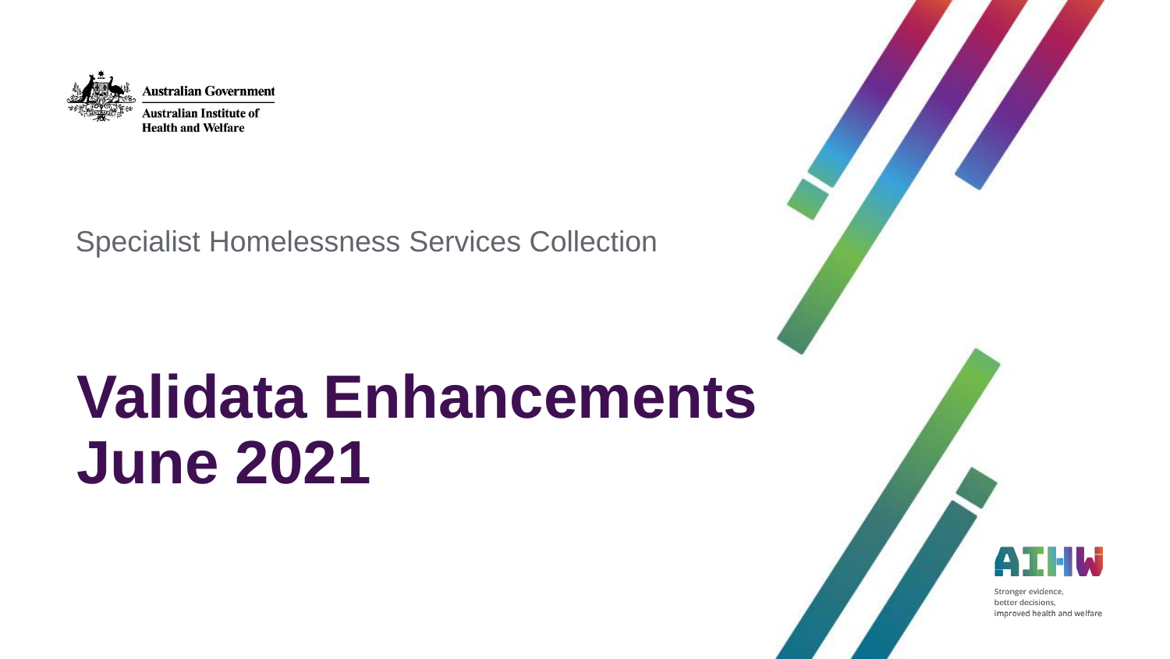

Specialist Homelessness Services Collection

# **Validata Enhancements June 2021**

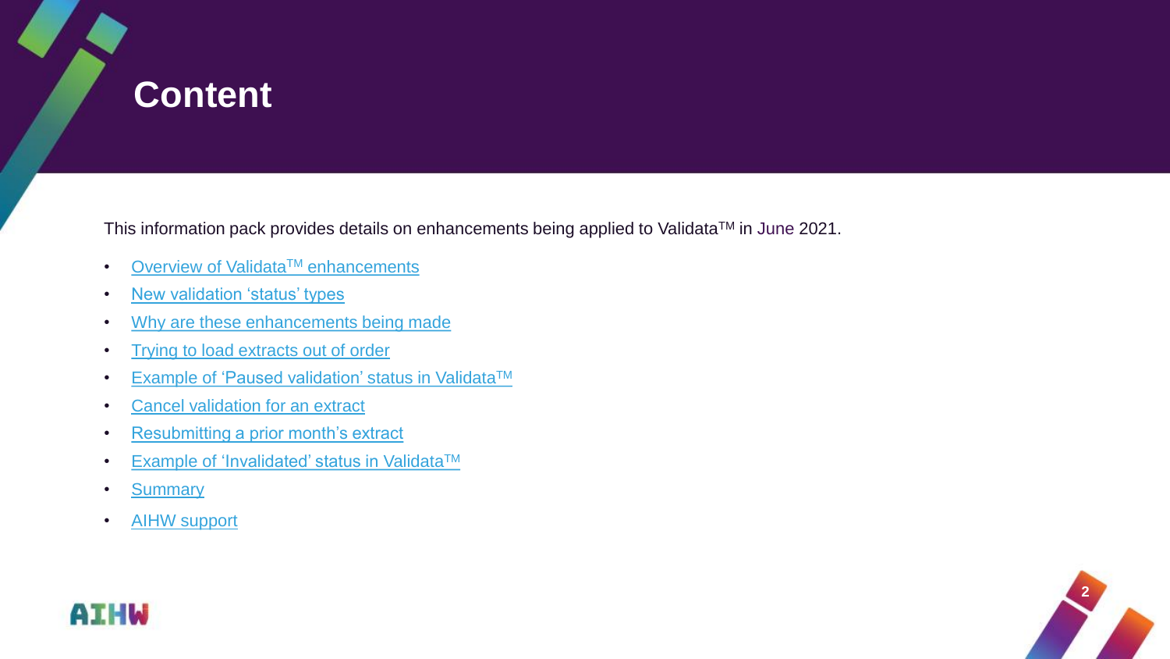# <span id="page-1-0"></span>**Content**

This information pack provides details on enhancements being applied to Validata™ in June 2021.

- [Overview of Validata](#page-2-0)<sup>TM</sup> enhancements
- [New validation 'status' types](#page-3-0)
- [Why are these enhancements being made](#page-4-0)
- [Trying to load extracts out of order](#page-5-0)
- [Example of 'Paused validation' status in Validata](#page-6-0)<sup>TM</sup>
- [Cancel validation for an extract](#page-7-0)
- [Resubmitting a prior month's extract](#page-9-0)
- [Example of 'Invalidated' status in Validata](#page-11-0)<sup>TM</sup>
- [Summary](#page-12-0)
- [AIHW support](#page-13-0)



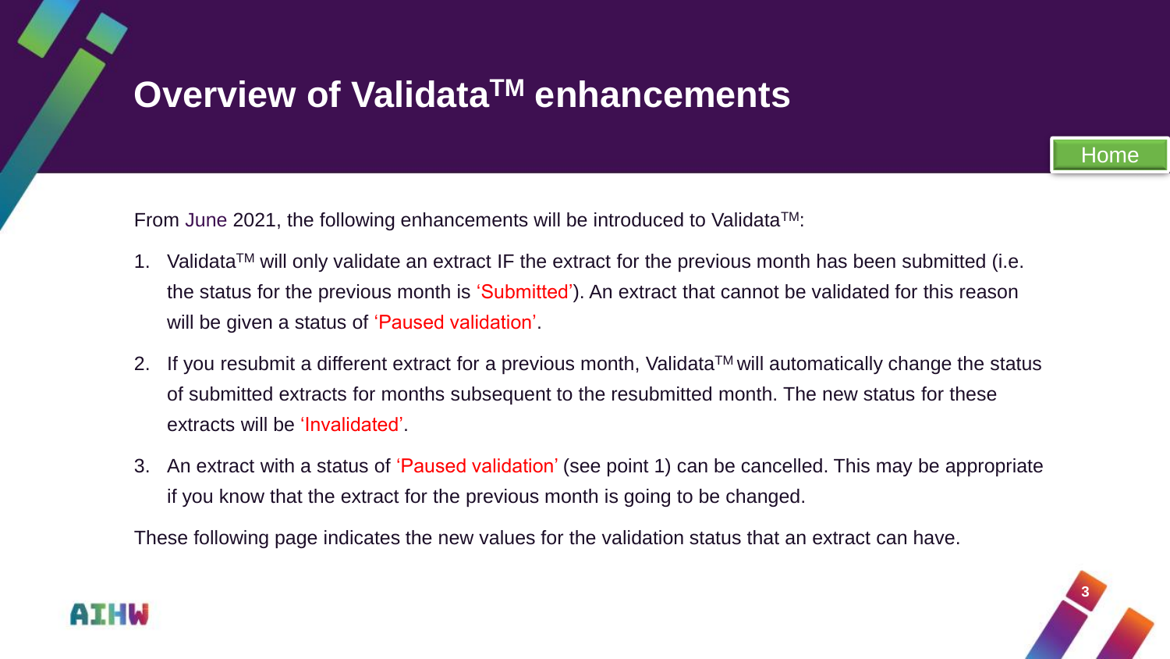# <span id="page-2-0"></span>**Overview of ValidataTM enhancements**



- 1. Validata<sup>TM</sup> will only validate an extract IF the extract for the previous month has been submitted (i.e. the status for the previous month is 'Submitted'). An extract that cannot be validated for this reason will be given a status of 'Paused validation'.
- 2. If you resubmit a different extract for a previous month, Validata<sup>TM</sup> will automatically change the status of submitted extracts for months subsequent to the resubmitted month. The new status for these extracts will be 'Invalidated'.
- 3. An extract with a status of 'Paused validation' (see point 1) can be cancelled. This may be appropriate if you know that the extract for the previous month is going to be changed.

These following page indicates the new values for the validation status that an extract can have.



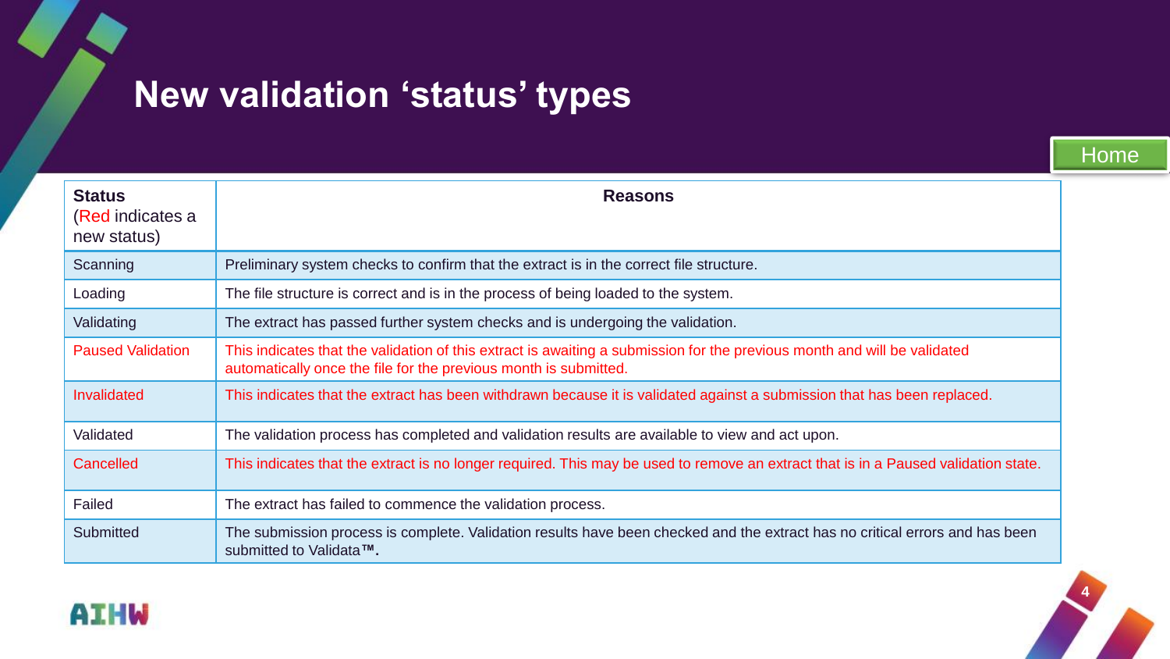# <span id="page-3-0"></span>**New validation 'status' types**

**Status**  (Red indicates a new status) **Reasons** Scanning Preliminary system checks to confirm that the extract is in the correct file structure. Loading The file structure is correct and is in the process of being loaded to the system. Validating The extract has passed further system checks and is undergoing the validation. Paused Validation | This indicates that the validation of this extract is awaiting a submission for the previous month and will be validated automatically once the file for the previous month is submitted. Invalidated This indicates that the extract has been withdrawn because it is validated against a submission that has been replaced. Validated The validation process has completed and validation results are available to view and act upon. Cancelled This indicates that the extract is no longer required. This may be used to remove an extract that is in a Paused validation state. Failed The extract has failed to commence the validation process. Submitted The submission process is complete. Validation results have been checked and the extract has no critical errors and has been submitted to Validata**™.**



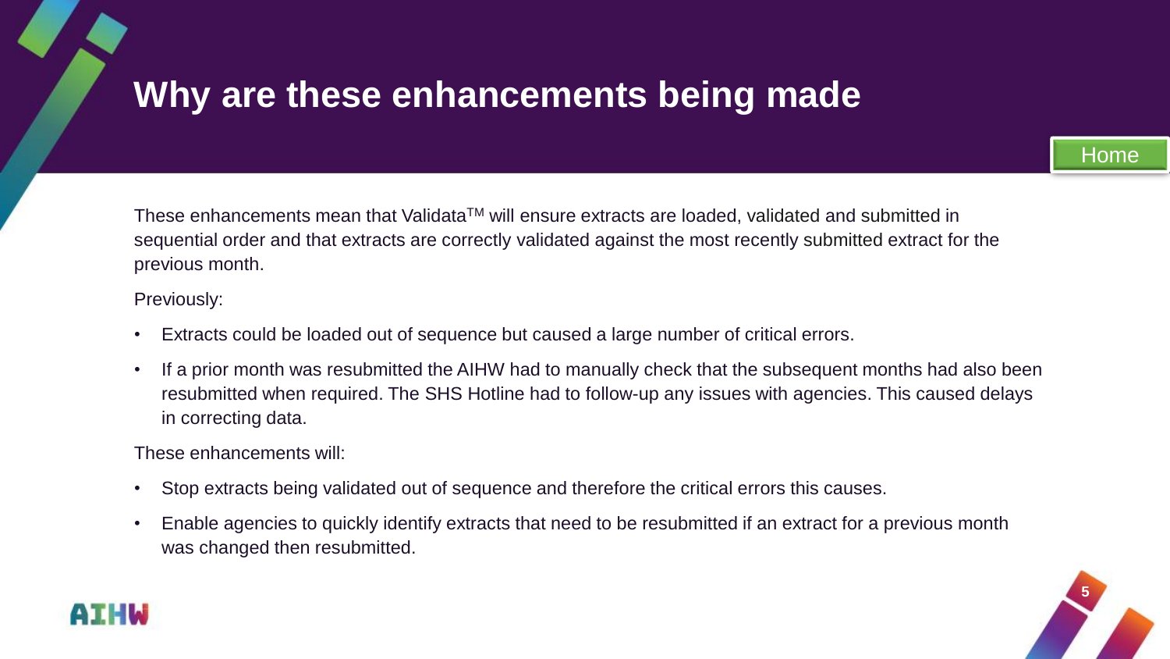# <span id="page-4-0"></span>**Why are these enhancements being made**

These enhancements mean that Validata™ will ensure extracts are loaded, validated and submitted in sequential order and that extracts are correctly validated against the most recently submitted extract for the previous month.

Previously:

- Extracts could be loaded out of sequence but caused a large number of critical errors.
- If a prior month was resubmitted the AIHW had to manually check that the subsequent months had also been resubmitted when required. The SHS Hotline had to follow-up any issues with agencies. This caused delays in correcting data.

These enhancements will:

- Stop extracts being validated out of sequence and therefore the critical errors this causes.
- Enable agencies to quickly identify extracts that need to be resubmitted if an extract for a previous month was changed then resubmitted.



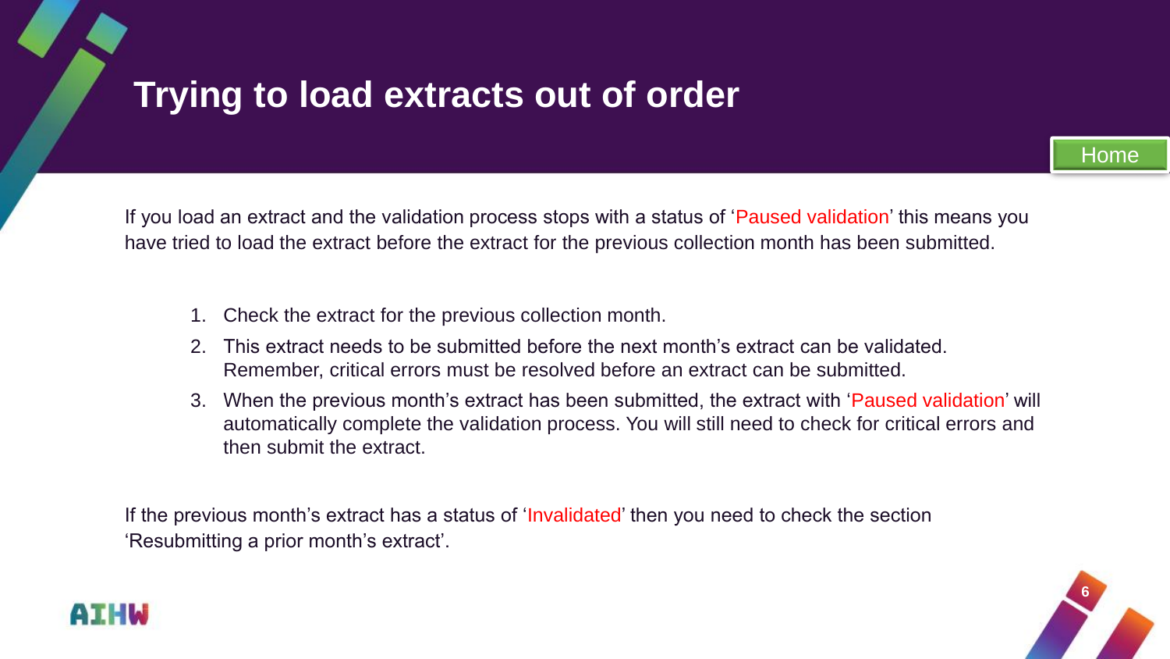# <span id="page-5-0"></span>**Trying to load extracts out of order**

If you load an extract and the validation process stops with a status of 'Paused validation' this means you have tried to load the extract before the extract for the previous collection month has been submitted.

- 1. Check the extract for the previous collection month.
- 2. This extract needs to be submitted before the next month's extract can be validated. Remember, critical errors must be resolved before an extract can be submitted.
- 3. When the previous month's extract has been submitted, the extract with 'Paused validation' will automatically complete the validation process. You will still need to check for critical errors and then submit the extract.

If the previous month's extract has a status of 'Invalidated' then you need to check the section 'Resubmitting a prior month's extract'.



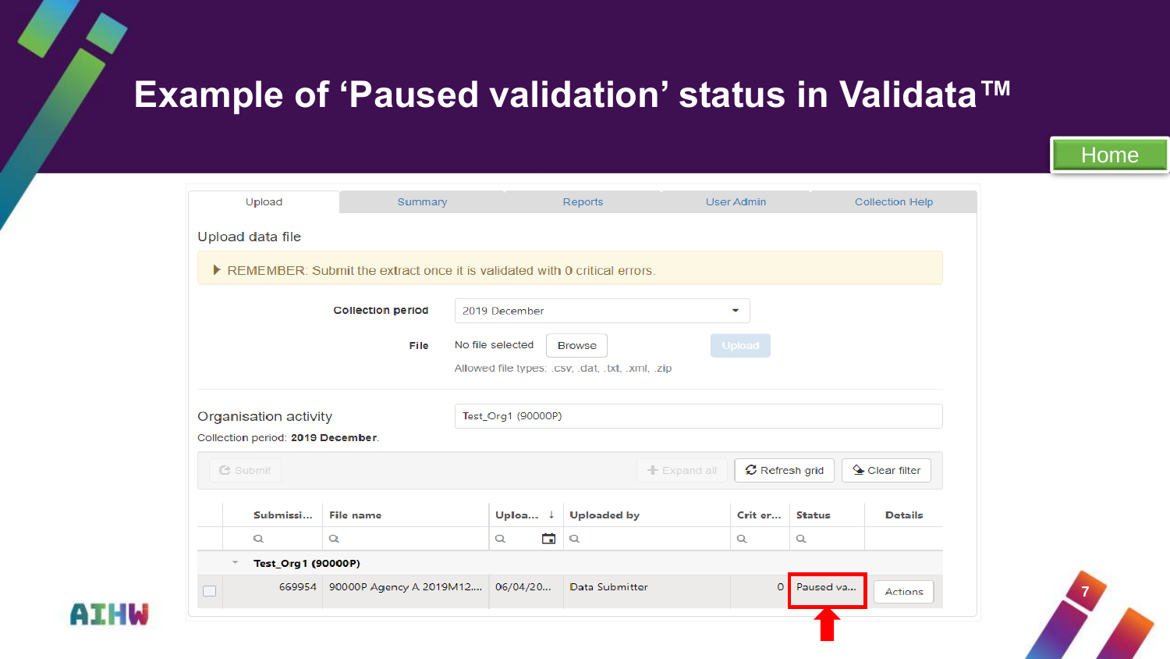# <span id="page-6-0"></span>**Example of 'Paused validation' status in Validata™**

|                                                                                  | Upload                                                                                                                                                                  | Summary                                 |                    | Reports            |  | User Admin                  |               | <b>Collection Help</b> |  |  |  |  |  |
|----------------------------------------------------------------------------------|-------------------------------------------------------------------------------------------------------------------------------------------------------------------------|-----------------------------------------|--------------------|--------------------|--|-----------------------------|---------------|------------------------|--|--|--|--|--|
| Upload data file                                                                 |                                                                                                                                                                         |                                         |                    |                    |  |                             |               |                        |  |  |  |  |  |
| REMEMBER: Submit the extract once it is validated with 0 critical errors.        |                                                                                                                                                                         |                                         |                    |                    |  |                             |               |                        |  |  |  |  |  |
|                                                                                  | <b>Collection period</b><br>2019 December<br>▼<br>No file selected<br><b>File</b><br><b>Upload</b><br><b>Browse</b><br>Allowed file types: .csv, .dat, .txt, .xml, .zip |                                         |                    |                    |  |                             |               |                        |  |  |  |  |  |
| Organisation activity<br>Test_Org1 (90000P)<br>Collection period: 2019 December. |                                                                                                                                                                         |                                         |                    |                    |  |                             |               |                        |  |  |  |  |  |
| C Refresh grid<br>$\triangle$ Clear filter<br><b>色 Submit</b><br>$+$ Expand all  |                                                                                                                                                                         |                                         |                    |                    |  |                             |               |                        |  |  |  |  |  |
|                                                                                  | Submissi                                                                                                                                                                | <b>File name</b>                        | Uploa $\downarrow$ | <b>Uploaded by</b> |  | Crit er                     | <b>Status</b> | <b>Details</b>         |  |  |  |  |  |
|                                                                                  | $\alpha$                                                                                                                                                                | $\alpha$                                | õ<br>Q             | Q                  |  | $\alpha$                    | $\alpha$      |                        |  |  |  |  |  |
| Test_Org1 (90000P)                                                               |                                                                                                                                                                         |                                         |                    |                    |  |                             |               |                        |  |  |  |  |  |
|                                                                                  |                                                                                                                                                                         | 669954 90000P Agency A 2019M12 06/04/20 |                    | Data Submitter     |  | Paused va<br>$\overline{0}$ |               | Actions                |  |  |  |  |  |
|                                                                                  |                                                                                                                                                                         |                                         |                    |                    |  |                             |               |                        |  |  |  |  |  |



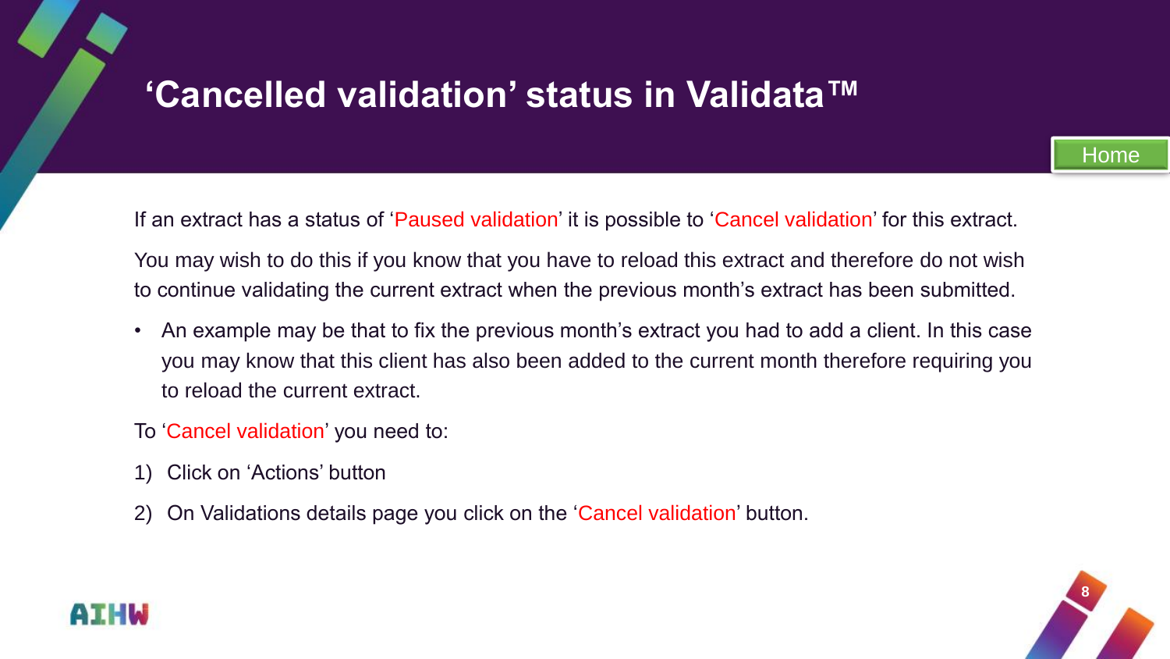# <span id="page-7-0"></span>**'Cancelled validation' status in Validata™**

If an extract has a status of 'Paused validation' it is possible to 'Cancel validation' for this extract.

You may wish to do this if you know that you have to reload this extract and therefore do not wish to continue validating the current extract when the previous month's extract has been submitted.

- An example may be that to fix the previous month's extract you had to add a client. In this case you may know that this client has also been added to the current month therefore requiring you to reload the current extract.
- To 'Cancel validation' you need to:
- 1) Click on 'Actions' button
- 2) On Validations details page you click on the 'Cancel validation' button.



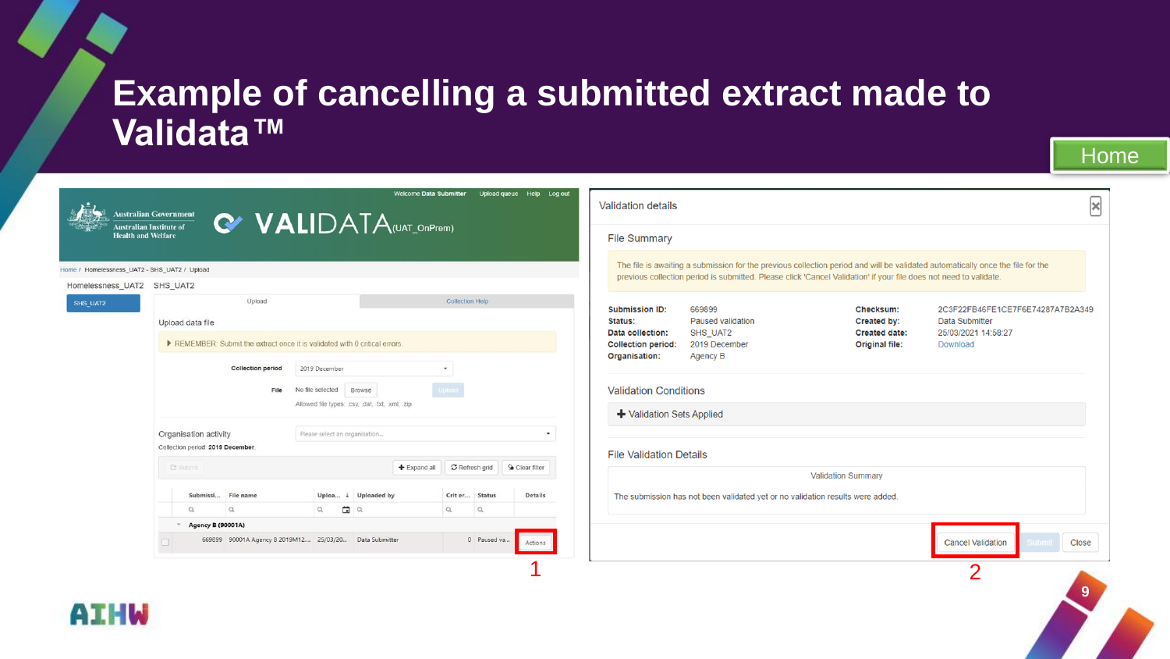#### **Example of cancelling a submitted extract made to Validata™**

Welcome Data Submitter Upload queue Help Log out  $\mathbf{z}$ **Validation details Australian Government** C VALIDATA(UAT\_OnPrem) **Australian Institute of Health and Welfare File Summary** The file is awaiting a submission for the previous collection period and will be validated automatically once the file for the Home / Homelessness\_UAT2 - SHS\_UAT2 / Upload previous collection period is submitted. Please click 'Cancel Validation' if your file does not need to validate. Homelessness\_UAT2 SHS\_UAT2 Upload Collection Help SHS UAT2 **Submission ID:** 669899 Checksum: 2C3F22FB46FE1CE7F6E74287A7B2A349 Status: **Paused validation Created by:** Data Submitter Upload data file Data collection: SHS\_UAT2 **Created date:** 25/03/2021 14:58:27 REMEMBER: Submit the extract once it is validated with 0 critical errors. **Collection period:** 2019 December Original file: Download Organisation: Agency B **Collection period** 2019 December  $\check{}$ **Validation Conditions** File No file selected Browse Allowed file types: .csv, .dat, .txt, .xml, .zip + Validation Sets Applied Organisation activity Please select an organisation... ٠ Collection period: 2019 December **File Validation Details C** Submit  $+$  Expand all **Validation Summary** Submissi... File name Uploa...  $\downarrow$  Uploaded by Crit er... Status **Details** The submission has not been validated yet or no validation results were added.  $\Omega$  $\alpha$  $\alpha$  $\begin{array}{c} \hline \end{array}$  $\alpha$  $\alpha$  $Q$  $-$  Agency B (90001A) 0 Paused va... 669899 90001A Agency B 2019M12.... 25/03/20... Data Submitter Actions **Cancel Validation** Close  $1 \hspace{2.5cm} 2$ **9**

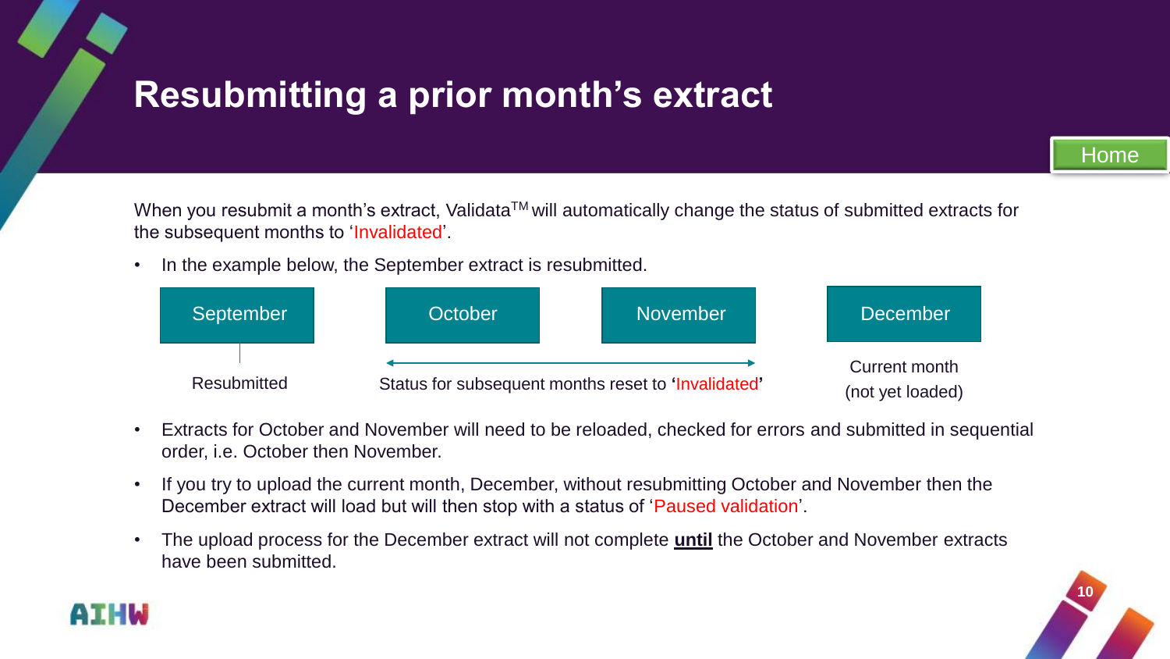# <span id="page-9-0"></span>**Resubmitting a prior month's extract**

[Home](#page-1-0)

When you resubmit a month's extract, Validata™ will automatically change the status of submitted extracts for the subsequent months to 'Invalidated'.

• In the example below, the September extract is resubmitted.



- Extracts for October and November will need to be reloaded, checked for errors and submitted in sequential order, i.e. October then November.
- If you try to upload the current month, December, without resubmitting October and November then the December extract will load but will then stop with a status of 'Paused validation'.
- The upload process for the December extract will not complete **until** the October and November extracts have been submitted.



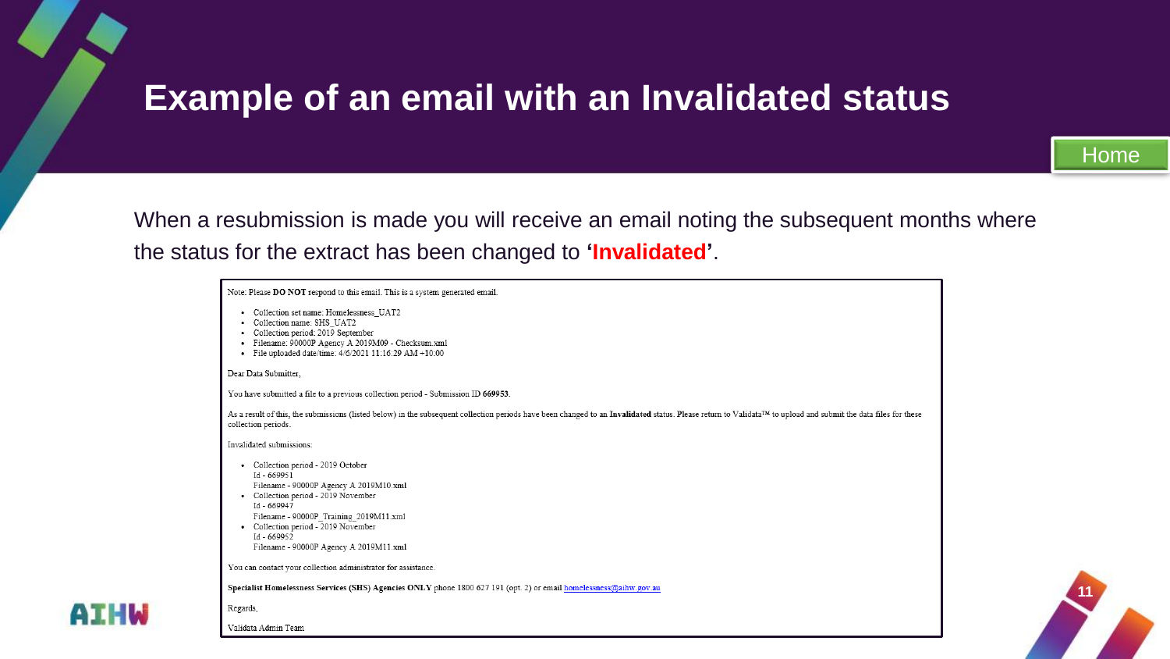### **Example of an email with an Invalidated status**

**11**

When a resubmission is made you will receive an email noting the subsequent months where the status for the extract has been changed to **'Invalidated'**.

| Note: Please DO NOT respond to this email. This is a system generated email.                                                                                                                                  |
|---------------------------------------------------------------------------------------------------------------------------------------------------------------------------------------------------------------|
| Collection set name: Homelessness UAT2<br>$\bullet$                                                                                                                                                           |
| • Collection name: SHS UAT2                                                                                                                                                                                   |
| • Collection period: 2019 September                                                                                                                                                                           |
| · Filename: 90000P Agency A 2019M09 - Checksum.xml                                                                                                                                                            |
| • File uploaded date/time: $4/6/2021$ 11:16:29 AM +10:00                                                                                                                                                      |
| Dear Data Submitter.                                                                                                                                                                                          |
| You have submitted a file to a previous collection period - Submission ID 669953.                                                                                                                             |
| As a result of this, the submissions (listed below) in the subsequent collection periods have been changed to an Invalidated status. Please return to Validata™ to upload and submit the data files for these |
| collection periods.                                                                                                                                                                                           |
| Invalidated submissions:                                                                                                                                                                                      |
| Collection period - 2019 October<br>٠                                                                                                                                                                         |
| Id - 669951                                                                                                                                                                                                   |
| Filename - 90000P Agency A 2019M10.xml                                                                                                                                                                        |
| • Collection period - 2019 November<br>Id - 669947                                                                                                                                                            |
| Filename - 90000P_Training_2019M11.xml                                                                                                                                                                        |
| • Collection period - 2019 November                                                                                                                                                                           |
| Id - 669952                                                                                                                                                                                                   |
| Filename - 90000P Agency A 2019M11.xml                                                                                                                                                                        |
| You can contact your collection administrator for assistance.                                                                                                                                                 |
| Specialist Homelessness Services (SHS) Agencies ONLY phone 1800 627 191 (opt. 2) or email homelessness@aihw.gov.au                                                                                            |
| Regards,                                                                                                                                                                                                      |
| Validata Admin Team                                                                                                                                                                                           |

**AIHW**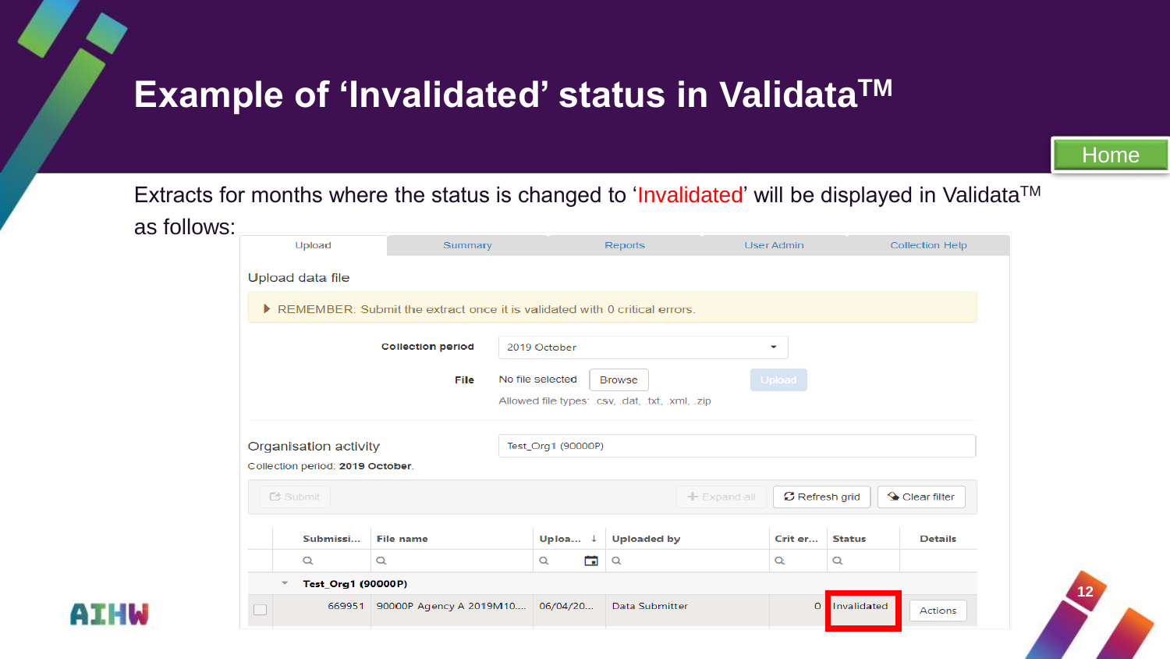### <span id="page-11-0"></span>**Example of 'Invalidated' status in ValidataTM**

[Home](#page-1-0)

**12**

Extracts for months where the status is changed to 'Invalidated' will be displayed in Validata™

| as follows: |                                                                           |                                  |                                             |                    |  |                                |               |                        |  |  |  |  |
|-------------|---------------------------------------------------------------------------|----------------------------------|---------------------------------------------|--------------------|--|--------------------------------|---------------|------------------------|--|--|--|--|
|             | Upload                                                                    | Summary                          | <b>Reports</b>                              |                    |  | User Admin                     |               | <b>Collection Help</b> |  |  |  |  |
|             | Upload data file                                                          |                                  |                                             |                    |  |                                |               |                        |  |  |  |  |
|             | REMEMBER: Submit the extract once it is validated with 0 critical errors. |                                  |                                             |                    |  |                                |               |                        |  |  |  |  |
|             |                                                                           | <b>Collection period</b>         | 2019 October<br>٠                           |                    |  |                                |               |                        |  |  |  |  |
|             |                                                                           | File                             | Upload<br>No file selected<br><b>Browse</b> |                    |  |                                |               |                        |  |  |  |  |
|             | Allowed file types: .csv, .dat, .txt, .xml, .zip                          |                                  |                                             |                    |  |                                |               |                        |  |  |  |  |
|             | Organisation activity                                                     |                                  | Test_Org1 (90000P)                          |                    |  |                                |               |                        |  |  |  |  |
|             | Collection period: 2019 October.                                          |                                  |                                             |                    |  |                                |               |                        |  |  |  |  |
|             | <b>色 Submit</b>                                                           |                                  | $+$ Expand all                              |                    |  | C Refresh grid<br>Clear filter |               |                        |  |  |  |  |
|             | Submissi                                                                  | <b>File name</b>                 | Uploa $\downarrow$                          | <b>Uploaded by</b> |  | Crit er                        | <b>Status</b> | <b>Details</b>         |  |  |  |  |
|             | $\alpha$                                                                  | Q                                | 茴<br>Q                                      | Q                  |  | Q                              | Q             |                        |  |  |  |  |
|             | Test_Org1 (90000P)<br>٠                                                   |                                  |                                             |                    |  |                                |               |                        |  |  |  |  |
|             | 669951                                                                    | 90000P Agency A 2019M10 06/04/20 |                                             | Data Submitter     |  | $\overline{0}$                 | Invalidated   | Actions                |  |  |  |  |

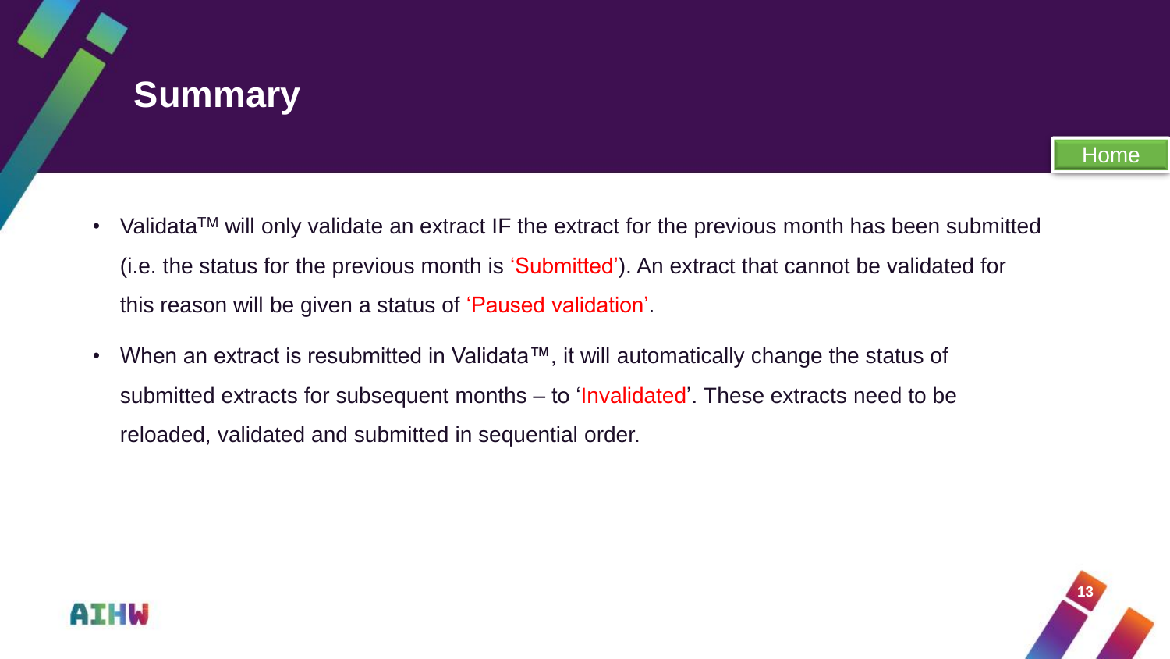#### <span id="page-12-0"></span>**Summary**

- Validata<sup>TM</sup> will only validate an extract IF the extract for the previous month has been submitted (i.e. the status for the previous month is 'Submitted'). An extract that cannot be validated for this reason will be given a status of 'Paused validation'.
- When an extract is resubmitted in Validata™, it will automatically change the status of submitted extracts for subsequent months – to 'Invalidated'. These extracts need to be reloaded, validated and submitted in sequential order.